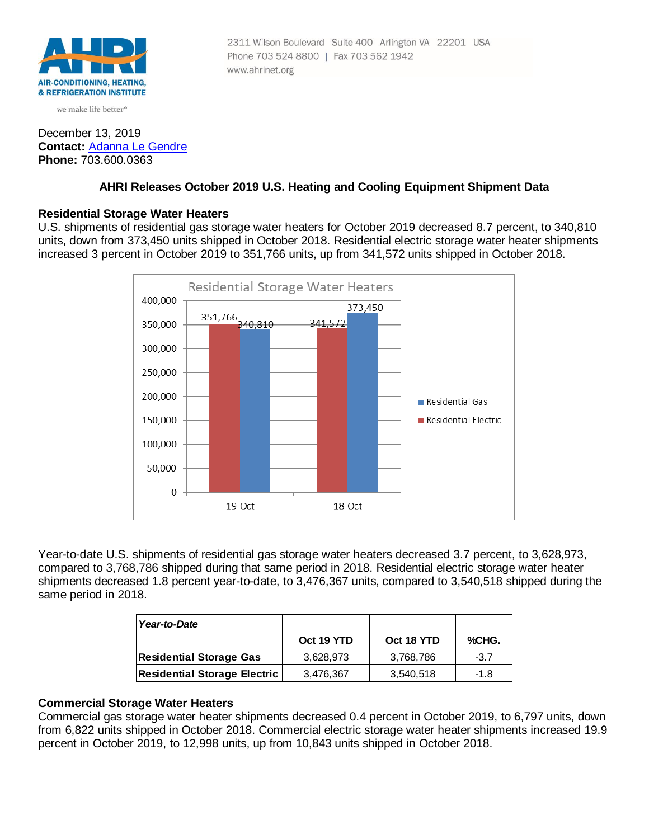

we make life better<sup>®</sup>

## December 13, 2019 **Contact:** [Adanna Le Gendre](mailto:AleGendre@ahrinet.org) **Phone:** 703.600.0363

#### 2311 Wilson Boulevard Suite 400 Arlington VA 22201 USA Phone 703 524 8800 | Fax 703 562 1942 www.ahrinet.org

# **AHRI Releases October 2019 U.S. Heating and Cooling Equipment Shipment Data**

## **Residential Storage Water Heaters**

U.S. shipments of residential gas storage water heaters for October 2019 decreased 8.7 percent, to 340,810 units, down from 373,450 units shipped in October 2018. Residential electric storage water heater shipments increased 3 percent in October 2019 to 351,766 units, up from 341,572 units shipped in October 2018.



Year-to-date U.S. shipments of residential gas storage water heaters decreased 3.7 percent, to 3,628,973, compared to 3,768,786 shipped during that same period in 2018. Residential electric storage water heater shipments decreased 1.8 percent year-to-date, to 3,476,367 units, compared to 3,540,518 shipped during the same period in 2018.

| Year-to-Date                        |            |            |        |
|-------------------------------------|------------|------------|--------|
|                                     | Oct 19 YTD | Oct 18 YTD | %CHG.  |
| <b>Residential Storage Gas</b>      | 3,628,973  | 3,768,786  | $-3.7$ |
| <b>Residential Storage Electric</b> | 3,476,367  | 3,540,518  | $-1.8$ |

# **Commercial Storage Water Heaters**

Commercial gas storage water heater shipments decreased 0.4 percent in October 2019, to 6,797 units, down from 6,822 units shipped in October 2018. Commercial electric storage water heater shipments increased 19.9 percent in October 2019, to 12,998 units, up from 10,843 units shipped in October 2018.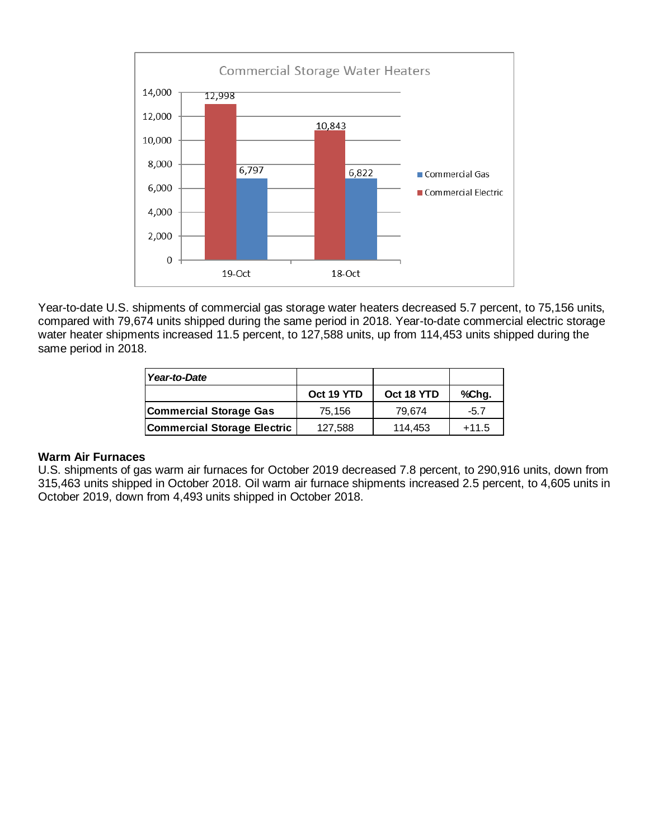

Year-to-date U.S. shipments of commercial gas storage water heaters decreased 5.7 percent, to 75,156 units, compared with 79,674 units shipped during the same period in 2018. Year-to-date commercial electric storage water heater shipments increased 11.5 percent, to 127,588 units, up from 114,453 units shipped during the same period in 2018.

| Year-to-Date                       |            |            |         |
|------------------------------------|------------|------------|---------|
|                                    | Oct 19 YTD | Oct 18 YTD | %Chg.   |
| <b>Commercial Storage Gas</b>      | 75.156     | 79.674     | $-5.7$  |
| <b>Commercial Storage Electric</b> | 127,588    | 114,453    | $+11.5$ |

## **Warm Air Furnaces**

U.S. shipments of gas warm air furnaces for October 2019 decreased 7.8 percent, to 290,916 units, down from 315,463 units shipped in October 2018. Oil warm air furnace shipments increased 2.5 percent, to 4,605 units in October 2019, down from 4,493 units shipped in October 2018.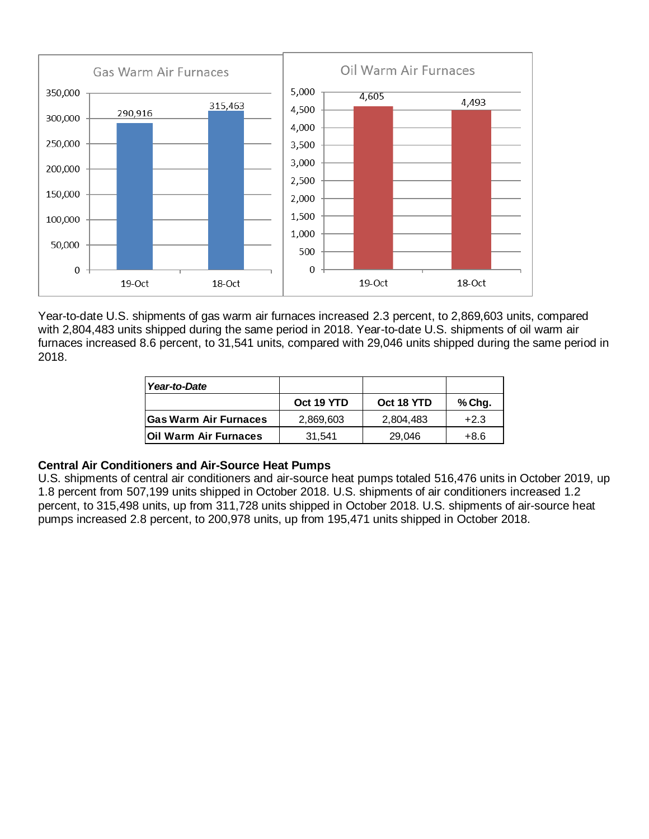

Year-to-date U.S. shipments of gas warm air furnaces increased 2.3 percent, to 2,869,603 units, compared with 2,804,483 units shipped during the same period in 2018. Year-to-date U.S. shipments of oil warm air furnaces increased 8.6 percent, to 31,541 units, compared with 29,046 units shipped during the same period in 2018.

| Year-to-Date                 |            |            |        |
|------------------------------|------------|------------|--------|
|                              | Oct 19 YTD | Oct 18 YTD | % Chg. |
| <b>Gas Warm Air Furnaces</b> | 2,869,603  | 2,804,483  | $+2.3$ |
| <b>Oil Warm Air Furnaces</b> | 31.541     | 29.046     | +8.6   |

## **Central Air Conditioners and Air-Source Heat Pumps**

U.S. shipments of central air conditioners and air-source heat pumps totaled 516,476 units in October 2019, up 1.8 percent from 507,199 units shipped in October 2018. U.S. shipments of air conditioners increased 1.2 percent, to 315,498 units, up from 311,728 units shipped in October 2018. U.S. shipments of air-source heat pumps increased 2.8 percent, to 200,978 units, up from 195,471 units shipped in October 2018.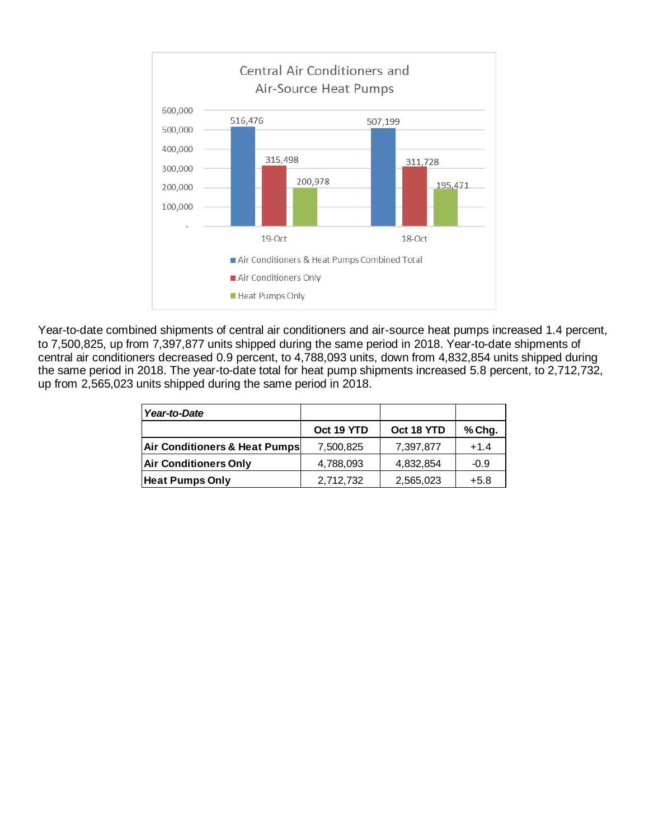

Year-to-date combined shipments of central air conditioners and air-source heat pumps increased 1.4 percent, to 7,500,825, up from 7,397,877 units shipped during the same period in 2018. Year-to-date shipments of central air conditioners decreased 0.9 percent, to 4,788,093 units, down from 4,832,854 units shipped during the same period in 2018. The year-to-date total for heat pump shipments increased 5.8 percent, to 2,712,732, up from 2,565,023 units shipped during the same period in 2018.

| Year-to-Date                  |            |            |        |
|-------------------------------|------------|------------|--------|
|                               | Oct 19 YTD | Oct 18 YTD | % Chg. |
| Air Conditioners & Heat Pumps | 7,500,825  | 7,397,877  | $+1.4$ |
| <b>Air Conditioners Only</b>  | 4,788,093  | 4,832,854  | $-0.9$ |
| <b>Heat Pumps Only</b>        | 2,712,732  | 2,565,023  | $+5.8$ |